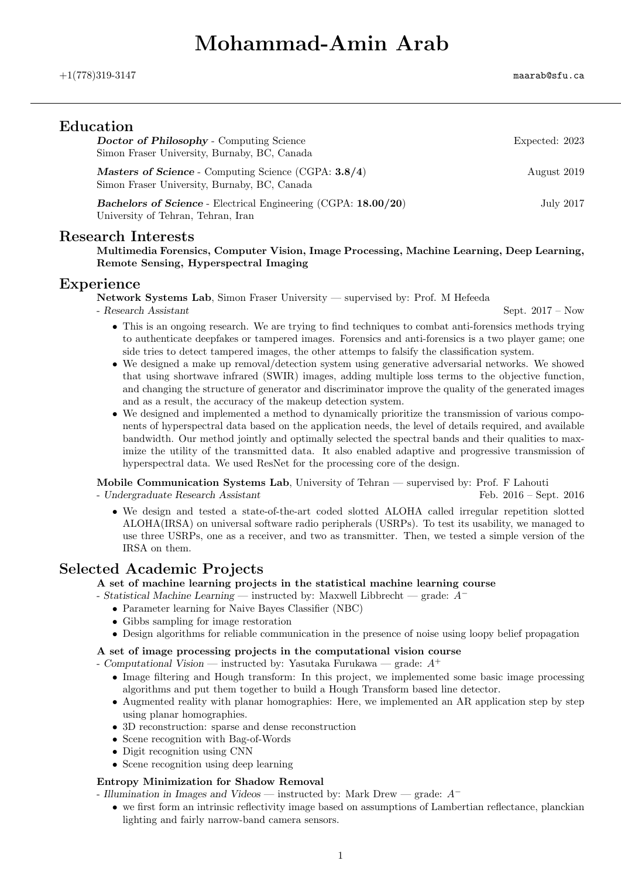# Mohammad-Amin Arab

| ${\rm Education}$<br><b>Doctor of Philosophy</b> - Computing Science<br>Simon Fraser University, Burnaby, BC, Canada<br>Masters of Science - Computing Science (CGPA: 3.8/4)<br>Simon Fraser University, Burnaby, BC, Canada | Expected: 2023 |
|------------------------------------------------------------------------------------------------------------------------------------------------------------------------------------------------------------------------------|----------------|
|                                                                                                                                                                                                                              | August 2019    |
| <b>Bachelors of Science</b> - Electrical Engineering (CGPA: 18.00/20)                                                                                                                                                        | July 2017      |

University of Tehran, Tehran, Iran

#### Research Interests

Multimedia Forensics, Computer Vision, Image Processing, Machine Learning, Deep Learning, Remote Sensing, Hyperspectral Imaging

#### Experience

Network Systems Lab, Simon Fraser University — supervised by: Prof. M Hefeeda

- Research Assistant Sept. 2017 – Now

- This is an ongoing research. We are trying to find techniques to combat anti-forensics methods trying to authenticate deepfakes or tampered images. Forensics and anti-forensics is a two player game; one side tries to detect tampered images, the other attemps to falsify the classification system.
- We designed a make up removal/detection system using generative adversarial networks. We showed that using shortwave infrared (SWIR) images, adding multiple loss terms to the objective function, and changing the structure of generator and discriminator improve the quality of the generated images and as a result, the accuracy of the makeup detection system.
- We designed and implemented a method to dynamically prioritize the transmission of various components of hyperspectral data based on the application needs, the level of details required, and available bandwidth. Our method jointly and optimally selected the spectral bands and their qualities to maximize the utility of the transmitted data. It also enabled adaptive and progressive transmission of hyperspectral data. We used ResNet for the processing core of the design.

Mobile Communication Systems Lab, University of Tehran — supervised by: Prof. F Lahouti

- Undergraduate Research Assistant Feb. 2016 – Sept. 2016

• We design and tested a state-of-the-art coded slotted ALOHA called irregular repetition slotted ALOHA(IRSA) on universal software radio peripherals (USRPs). To test its usability, we managed to use three USRPs, one as a receiver, and two as transmitter. Then, we tested a simple version of the IRSA on them.

### Selected Academic Projects

A set of machine learning projects in the statistical machine learning course

- Statistical Machine Learning instructed by: Maxwell Libbrecht grade: A<sup>−</sup>
	- Parameter learning for Naive Bayes Classifier (NBC)
	- Gibbs sampling for image restoration
	- Design algorithms for reliable communication in the presence of noise using loopy belief propagation

#### A set of image processing projects in the computational vision course

- Computational Vision — instructed by: Yasutaka Furukawa — grade:  $A^+$ 

- Image filtering and Hough transform: In this project, we implemented some basic image processing algorithms and put them together to build a Hough Transform based line detector.
- Augmented reality with planar homographies: Here, we implemented an AR application step by step using planar homographies.
- 3D reconstruction: sparse and dense reconstruction
- Scene recognition with Bag-of-Words
- Digit recognition using CNN
- Scene recognition using deep learning

#### Entropy Minimization for Shadow Removal

- Illumination in Images and Videos instructed by: Mark Drew grade: A<sup>−</sup>
	- we first form an intrinsic reflectivity image based on assumptions of Lambertian reflectance, planckian lighting and fairly narrow-band camera sensors.